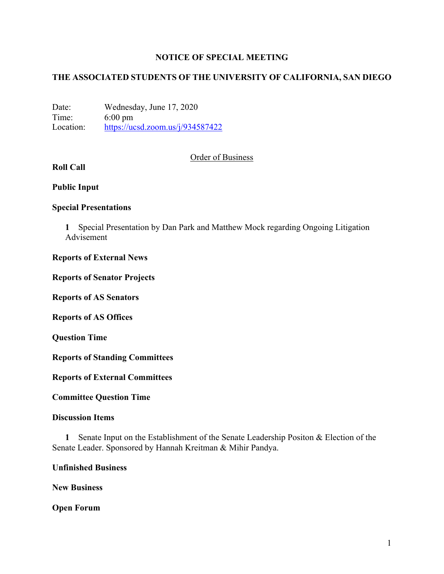## **NOTICE OF SPECIAL MEETING**

## **THE ASSOCIATED STUDENTS OF THE UNIVERSITY OF CALIFORNIA, SAN DIEGO**

Date: Wednesday, June 17, 2020 Time: 6:00 pm Location: https://ucsd.zoom.us/j/934587422

### Order of Business

# **Roll Call**

#### **Public Input**

### **Special Presentations**

**1** Special Presentation by Dan Park and Matthew Mock regarding Ongoing Litigation Advisement

#### **Reports of External News**

#### **Reports of Senator Projects**

**Reports of AS Senators**

**Reports of AS Offices**

**Question Time**

**Reports of Standing Committees**

**Reports of External Committees**

**Committee Question Time**

#### **Discussion Items**

**1** Senate Input on the Establishment of the Senate Leadership Positon & Election of the Senate Leader. Sponsored by Hannah Kreitman & Mihir Pandya.

**Unfinished Business**

**New Business**

**Open Forum**